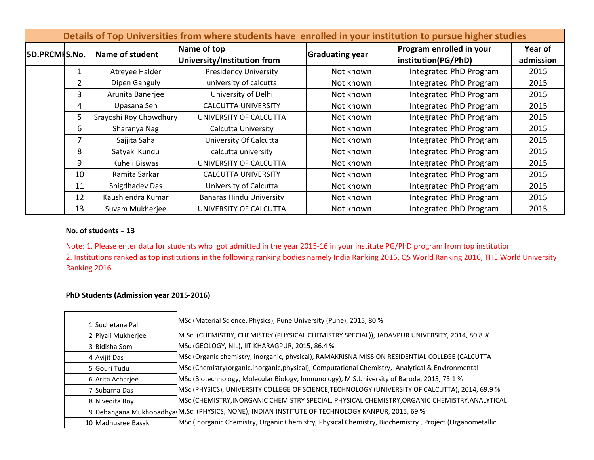| Details of Top Universities from where students have enrolled in your institution to pursue higher studies |                |                        |                                            |                        |                                                 |                      |  |  |
|------------------------------------------------------------------------------------------------------------|----------------|------------------------|--------------------------------------------|------------------------|-------------------------------------------------|----------------------|--|--|
| <b>5D.PRCMIS.No.</b>                                                                                       |                | Name of student        | Name of top<br>University/Institution from | <b>Graduating year</b> | Program enrolled in your<br>institution(PG/PhD) | Year of<br>admission |  |  |
|                                                                                                            |                | Atreyee Halder         | <b>Presidency University</b>               | Not known              | Integrated PhD Program                          | 2015                 |  |  |
|                                                                                                            | $\overline{2}$ | Dipen Ganguly          | university of calcutta                     | Not known              | Integrated PhD Program                          | 2015                 |  |  |
|                                                                                                            | 3              | Arunita Banerjee       | University of Delhi                        | Not known              | Integrated PhD Program                          | 2015                 |  |  |
|                                                                                                            | 4              | Upasana Sen            | <b>CALCUTTA UNIVERSITY</b>                 | Not known              | Integrated PhD Program                          | 2015                 |  |  |
|                                                                                                            | 5              | Srayoshi Roy Chowdhury | UNIVERSITY OF CALCUTTA                     | Not known              | Integrated PhD Program                          | 2015                 |  |  |
|                                                                                                            | 6              | Sharanya Nag           | <b>Calcutta University</b>                 | Not known              | Integrated PhD Program                          | 2015                 |  |  |
|                                                                                                            | 7              | Sajjita Saha           | University Of Calcutta                     | Not known              | Integrated PhD Program                          | 2015                 |  |  |
|                                                                                                            | 8              | Satyaki Kundu          | calcutta university                        | Not known              | Integrated PhD Program                          | 2015                 |  |  |
|                                                                                                            | 9              | Kuheli Biswas          | UNIVERSITY OF CALCUTTA                     | Not known              | Integrated PhD Program                          | 2015                 |  |  |
|                                                                                                            | 10             | Ramita Sarkar          | <b>CALCUTTA UNIVERSITY</b>                 | Not known              | Integrated PhD Program                          | 2015                 |  |  |
|                                                                                                            | 11             | Snigdhadev Das         | University of Calcutta                     | Not known              | Integrated PhD Program                          | 2015                 |  |  |
|                                                                                                            | 12             | Kaushlendra Kumar      | <b>Banaras Hindu University</b>            | Not known              | Integrated PhD Program                          | 2015                 |  |  |
|                                                                                                            | 13             | Suvam Mukherjee        | UNIVERSITY OF CALCUTTA                     | Not known              | Integrated PhD Program                          | 2015                 |  |  |

## **No. of students = 13**

Note: 1. Please enter data for students who got admitted in the year 2015-16 in your institute PG/PhD program from top institution 2. Institutions ranked as top institutions in the following ranking bodies namely India Ranking 2016, QS World Ranking 2016, THE World University Ranking 2016.

## **PhD Students (Admission year 2015-2016)**

| 1 Suchetana Pal    | MSc (Material Science, Physics), Pune University (Pune), 2015, 80 %                                    |
|--------------------|--------------------------------------------------------------------------------------------------------|
| 2 Piyali Mukherjee | M.Sc. (CHEMISTRY, CHEMISTRY (PHYSICAL CHEMISTRY SPECIAL)), JADAVPUR UNIVERSITY, 2014, 80.8 %           |
| 3 Bidisha Som      | MSc (GEOLOGY, NIL), IIT KHARAGPUR, 2015, 86.4 %                                                        |
| 4 Avijit Das       | MSc (Organic chemistry, inorganic, physical), RAMAKRISNA MISSION RESIDENTIAL COLLEGE (CALCUTTA         |
| 5 Gouri Tudu       | MSc (Chemistry (organic, inorganic, physical), Computational Chemistry, Analytical & Environmental     |
| 6 Arita Acharjee   | MSc (Biotechnology, Molecular Biology, Immunology), M.S.University of Baroda, 2015, 73.1 %             |
| 7 Subarna Das      | MSc (PHYSICS), UNIVERSITY COLLEGE OF SCIENCE, TECHNOLOGY (UNIVERSITY OF CALCUTTA), 2014, 69.9 %        |
| 8 Nivedita Roy     | MSc (CHEMISTRY, INORGANIC CHEMISTRY SPECIAL, PHYSICAL CHEMISTRY, ORGANIC CHEMISTRY, ANALYTICAL         |
|                    | 9 Debangana Mukhopadhya M.Sc. (PHYSICS, NONE), INDIAN INSTITUTE OF TECHNOLOGY KANPUR, 2015, 69 %       |
| 10 Madhusree Basak | MSc (Inorganic Chemistry, Organic Chemistry, Physical Chemistry, Biochemistry, Project (Organometallic |